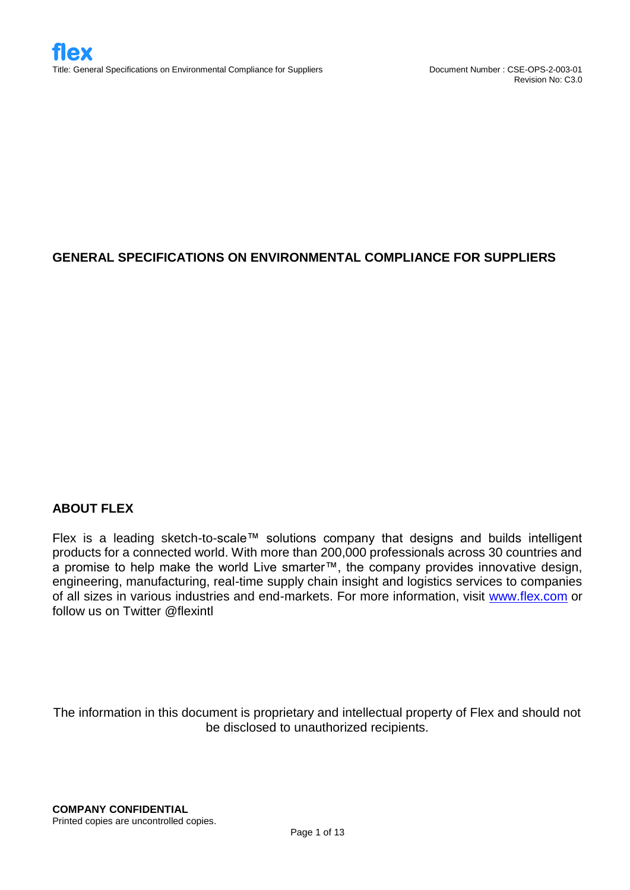# **GENERAL SPECIFICATIONS ON ENVIRONMENTAL COMPLIANCE FOR SUPPLIERS**

## **ABOUT FLEX**

Flex is a leading sketch-to-scale™ solutions company that designs and builds intelligent products for a connected world. With more than 200,000 professionals across 30 countries and a promise to help make the world Live smarter™, the company provides innovative design, engineering, manufacturing, real-time supply chain insight and logistics services to companies of all sizes in various industries and end-markets. For more information, visit [www.flex.com](http://www.flex.com/) or follow us on Twitter @flexintl

The information in this document is proprietary and intellectual property of Flex and should not be disclosed to unauthorized recipients.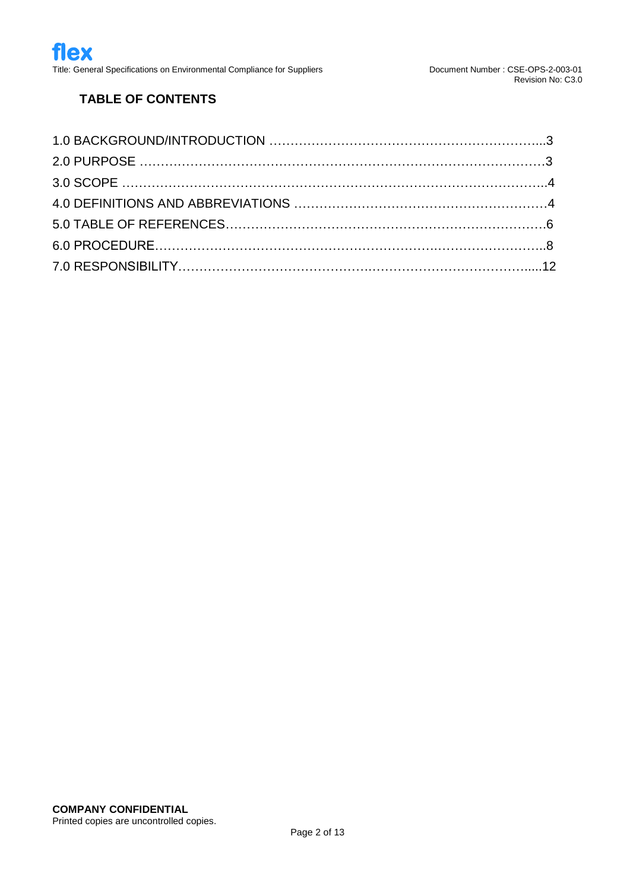# **TABLE OF CONTENTS**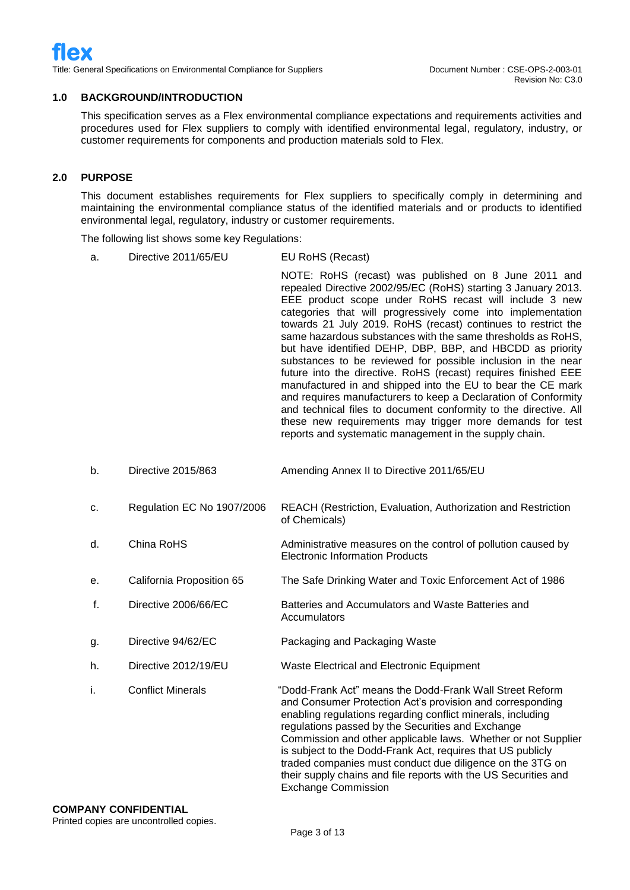#### **1.0 BACKGROUND/INTRODUCTION**

This specification serves as a Flex environmental compliance expectations and requirements activities and procedures used for Flex suppliers to comply with identified environmental legal, regulatory, industry, or customer requirements for components and production materials sold to Flex.

#### **2.0 PURPOSE**

This document establishes requirements for Flex suppliers to specifically comply in determining and maintaining the environmental compliance status of the identified materials and or products to identified environmental legal, regulatory, industry or customer requirements.

The following list shows some key Regulations:

a. Directive 2011/65/EU EU RoHS (Recast)

NOTE: RoHS (recast) was published on 8 June 2011 and repealed Directive 2002/95/EC (RoHS) starting 3 January 2013. EEE product scope under RoHS recast will include 3 new categories that will progressively come into implementation towards 21 July 2019. RoHS (recast) continues to restrict the same hazardous substances with the same thresholds as RoHS, but have identified DEHP, DBP, BBP, and HBCDD as priority substances to be reviewed for possible inclusion in the near future into the directive. RoHS (recast) requires finished EEE manufactured in and shipped into the EU to bear the CE mark and requires manufacturers to keep a Declaration of Conformity and technical files to document conformity to the directive. All these new requirements may trigger more demands for test reports and systematic management in the supply chain.

- b. Directive 2015/863 Amending Annex II to Directive 2011/65/EU
- c. Regulation EC No 1907/2006 REACH (Restriction, Evaluation, Authorization and Restriction of Chemicals)
- d. China RoHS China Romess Administrative measures on the control of pollution caused by Electronic Information Products
- e. California Proposition 65 The Safe Drinking Water and Toxic Enforcement Act of 1986
- f. Directive 2006/66/EC Batteries and Accumulators and Waste Batteries and **Accumulators**
- g. Directive 94/62/EC Packaging and Packaging Waste
- h. Directive 2012/19/EU Waste Electrical and Electronic Equipment

i. Conflict Minerals "Dodd-Frank Act" means the Dodd-Frank Wall Street Reform and Consumer Protection Act's provision and corresponding enabling regulations regarding conflict minerals, including regulations passed by the Securities and Exchange Commission and other applicable laws. Whether or not Supplier is subject to the Dodd-Frank Act, requires that US publicly traded companies must conduct due diligence on the 3TG on their supply chains and file reports with the US Securities and Exchange Commission

### **COMPANY CONFIDENTIAL**

Printed copies are uncontrolled copies.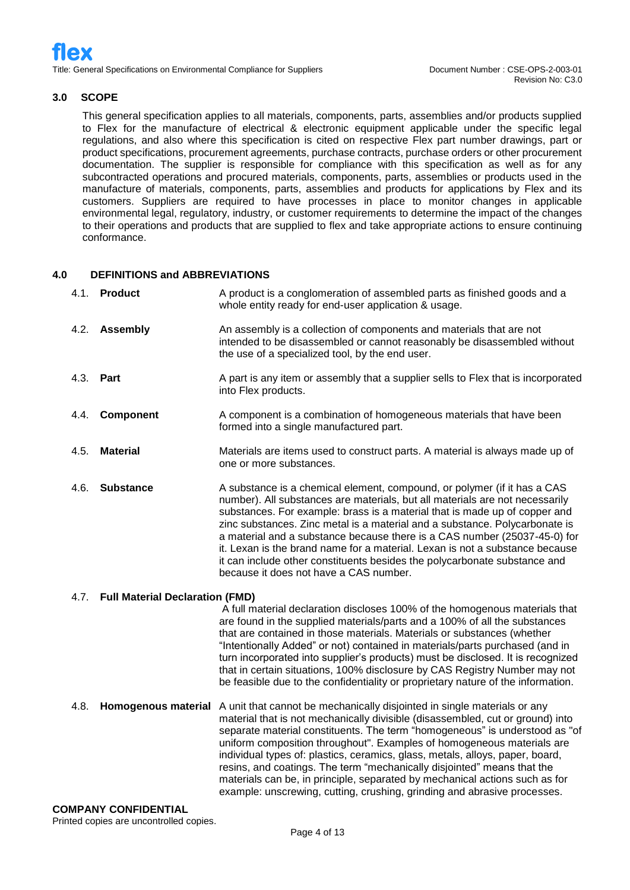#### **3.0 SCOPE**

This general specification applies to all materials, components, parts, assemblies and/or products supplied to Flex for the manufacture of electrical & electronic equipment applicable under the specific legal regulations, and also where this specification is cited on respective Flex part number drawings, part or product specifications, procurement agreements, purchase contracts, purchase orders or other procurement documentation. The supplier is responsible for compliance with this specification as well as for any subcontracted operations and procured materials, components, parts, assemblies or products used in the manufacture of materials, components, parts, assemblies and products for applications by Flex and its customers. Suppliers are required to have processes in place to monitor changes in applicable environmental legal, regulatory, industry, or customer requirements to determine the impact of the changes to their operations and products that are supplied to flex and take appropriate actions to ensure continuing conformance.

#### **4.0 DEFINITIONS and ABBREVIATIONS**

|           | 4.1. Product                           | A product is a conglomeration of assembled parts as finished goods and a<br>whole entity ready for end-user application & usage.                                                                                                                                                                                                                                                                                                                                                                                                                                                                                                           |
|-----------|----------------------------------------|--------------------------------------------------------------------------------------------------------------------------------------------------------------------------------------------------------------------------------------------------------------------------------------------------------------------------------------------------------------------------------------------------------------------------------------------------------------------------------------------------------------------------------------------------------------------------------------------------------------------------------------------|
|           | 4.2. Assembly                          | An assembly is a collection of components and materials that are not<br>intended to be disassembled or cannot reasonably be disassembled without<br>the use of a specialized tool, by the end user.                                                                                                                                                                                                                                                                                                                                                                                                                                        |
| 4.3. Part |                                        | A part is any item or assembly that a supplier sells to Flex that is incorporated<br>into Flex products.                                                                                                                                                                                                                                                                                                                                                                                                                                                                                                                                   |
| 4.4.      | Component                              | A component is a combination of homogeneous materials that have been<br>formed into a single manufactured part.                                                                                                                                                                                                                                                                                                                                                                                                                                                                                                                            |
| 4.5.      | <b>Material</b>                        | Materials are items used to construct parts. A material is always made up of<br>one or more substances.                                                                                                                                                                                                                                                                                                                                                                                                                                                                                                                                    |
| 4.6.      | <b>Substance</b>                       | A substance is a chemical element, compound, or polymer (if it has a CAS<br>number). All substances are materials, but all materials are not necessarily<br>substances. For example: brass is a material that is made up of copper and<br>zinc substances. Zinc metal is a material and a substance. Polycarbonate is<br>a material and a substance because there is a CAS number (25037-45-0) for<br>it. Lexan is the brand name for a material. Lexan is not a substance because<br>it can include other constituents besides the polycarbonate substance and<br>because it does not have a CAS number.                                  |
| 4.7.      | <b>Full Material Declaration (FMD)</b> |                                                                                                                                                                                                                                                                                                                                                                                                                                                                                                                                                                                                                                            |
|           |                                        | A full material declaration discloses 100% of the homogenous materials that<br>are found in the supplied materials/parts and a 100% of all the substances<br>that are contained in those materials. Materials or substances (whether<br>"Intentionally Added" or not) contained in materials/parts purchased (and in<br>turn incorporated into supplier's products) must be disclosed. It is recognized<br>that in certain situations, 100% disclosure by CAS Registry Number may not<br>be feasible due to the confidentiality or proprietary nature of the information.                                                                  |
| 4.8.      | <b>Homogenous material</b>             | A unit that cannot be mechanically disjointed in single materials or any<br>material that is not mechanically divisible (disassembled, cut or ground) into<br>separate material constituents. The term "homogeneous" is understood as "of<br>uniform composition throughout". Examples of homogeneous materials are<br>individual types of: plastics, ceramics, glass, metals, alloys, paper, board,<br>resins, and coatings. The term "mechanically disjointed" means that the<br>materials can be, in principle, separated by mechanical actions such as for<br>example: unscrewing, cutting, crushing, grinding and abrasive processes. |
|           | <b>COMPANY CONFIDENTIAL</b>            |                                                                                                                                                                                                                                                                                                                                                                                                                                                                                                                                                                                                                                            |

Printed copies are uncontrolled copies.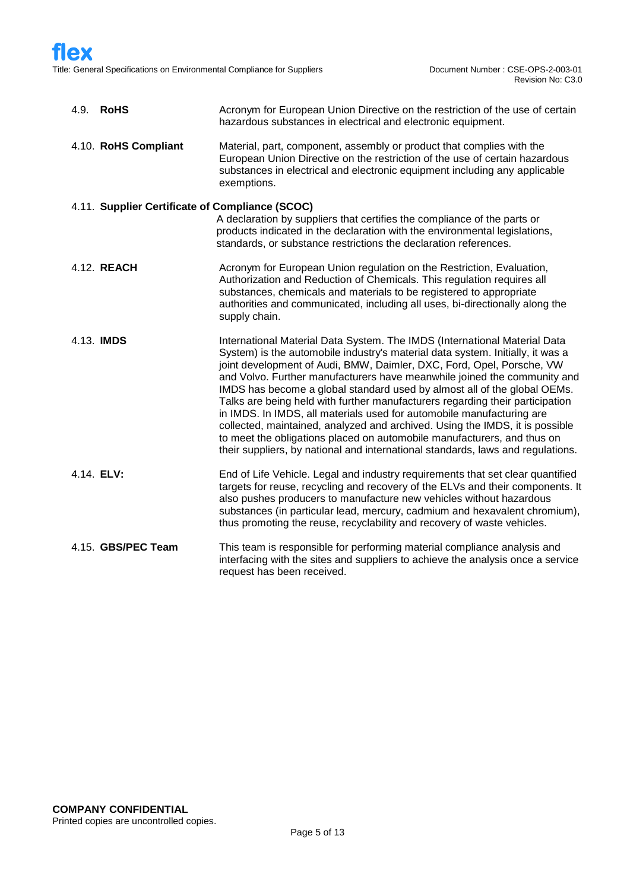| 4.9. RoHS                                       | Acronym for European Union Directive on the restriction of the use of certain<br>hazardous substances in electrical and electronic equipment.                                                                                                                                                                                                                                                                                                                                                                                                                                                                                                                                                                                                                                                        |  |  |  |
|-------------------------------------------------|------------------------------------------------------------------------------------------------------------------------------------------------------------------------------------------------------------------------------------------------------------------------------------------------------------------------------------------------------------------------------------------------------------------------------------------------------------------------------------------------------------------------------------------------------------------------------------------------------------------------------------------------------------------------------------------------------------------------------------------------------------------------------------------------------|--|--|--|
| 4.10. RoHS Compliant                            | Material, part, component, assembly or product that complies with the<br>European Union Directive on the restriction of the use of certain hazardous<br>substances in electrical and electronic equipment including any applicable<br>exemptions.                                                                                                                                                                                                                                                                                                                                                                                                                                                                                                                                                    |  |  |  |
| 4.11. Supplier Certificate of Compliance (SCOC) |                                                                                                                                                                                                                                                                                                                                                                                                                                                                                                                                                                                                                                                                                                                                                                                                      |  |  |  |
|                                                 | A declaration by suppliers that certifies the compliance of the parts or<br>products indicated in the declaration with the environmental legislations,<br>standards, or substance restrictions the declaration references.                                                                                                                                                                                                                                                                                                                                                                                                                                                                                                                                                                           |  |  |  |
| 4.12. REACH                                     | Acronym for European Union regulation on the Restriction, Evaluation,<br>Authorization and Reduction of Chemicals. This regulation requires all<br>substances, chemicals and materials to be registered to appropriate<br>authorities and communicated, including all uses, bi-directionally along the<br>supply chain.                                                                                                                                                                                                                                                                                                                                                                                                                                                                              |  |  |  |
| 4.13. IMDS                                      | International Material Data System. The IMDS (International Material Data<br>System) is the automobile industry's material data system. Initially, it was a<br>joint development of Audi, BMW, Daimler, DXC, Ford, Opel, Porsche, VW<br>and Volvo. Further manufacturers have meanwhile joined the community and<br>IMDS has become a global standard used by almost all of the global OEMs.<br>Talks are being held with further manufacturers regarding their participation<br>in IMDS. In IMDS, all materials used for automobile manufacturing are<br>collected, maintained, analyzed and archived. Using the IMDS, it is possible<br>to meet the obligations placed on automobile manufacturers, and thus on<br>their suppliers, by national and international standards, laws and regulations. |  |  |  |
| 4.14. ELV:                                      | End of Life Vehicle. Legal and industry requirements that set clear quantified<br>targets for reuse, recycling and recovery of the ELVs and their components. It<br>also pushes producers to manufacture new vehicles without hazardous<br>substances (in particular lead, mercury, cadmium and hexavalent chromium),<br>thus promoting the reuse, recyclability and recovery of waste vehicles.                                                                                                                                                                                                                                                                                                                                                                                                     |  |  |  |
| 4.15. GBS/PEC Team                              | This team is responsible for performing material compliance analysis and<br>interfacing with the sites and suppliers to achieve the analysis once a service<br>request has been received.                                                                                                                                                                                                                                                                                                                                                                                                                                                                                                                                                                                                            |  |  |  |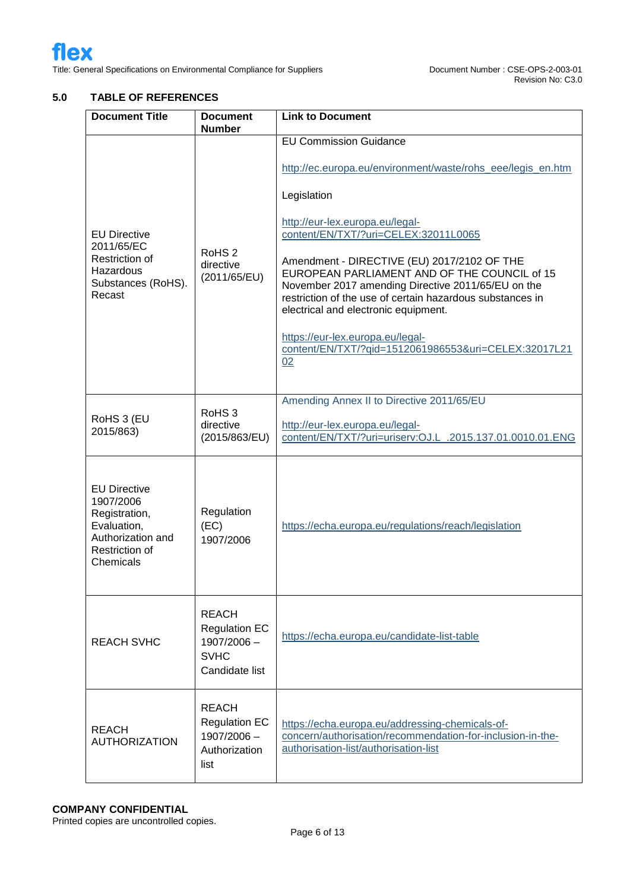## **5.0 TABLE OF REFERENCES**

| <b>Document Title</b>                                                                                                                                   | <b>Document</b><br><b>Number</b>                | <b>Link to Document</b>                                                                                                                                                                                                                                                                                                                                                                                                                                                                                                                            |  |  |
|---------------------------------------------------------------------------------------------------------------------------------------------------------|-------------------------------------------------|----------------------------------------------------------------------------------------------------------------------------------------------------------------------------------------------------------------------------------------------------------------------------------------------------------------------------------------------------------------------------------------------------------------------------------------------------------------------------------------------------------------------------------------------------|--|--|
| <b>EU Directive</b><br>2011/65/EC<br>RoHS <sub>2</sub><br>Restriction of<br>directive<br>Hazardous<br>(2011/65/EU)<br>Substances (RoHS).<br>Recast      |                                                 | <b>EU Commission Guidance</b><br>http://ec.europa.eu/environment/waste/rohs_eee/legis_en.htm<br>Legislation<br>http://eur-lex.europa.eu/legal-<br>content/EN/TXT/?uri=CELEX:32011L0065<br>Amendment - DIRECTIVE (EU) 2017/2102 OF THE<br>EUROPEAN PARLIAMENT AND OF THE COUNCIL of 15<br>November 2017 amending Directive 2011/65/EU on the<br>restriction of the use of certain hazardous substances in<br>electrical and electronic equipment.<br>https://eur-lex.europa.eu/legal-<br>content/EN/TXT/?gid=1512061986553&uri=CELEX:32017L21<br>02 |  |  |
| RoHS 3 (EU<br>2015/863)                                                                                                                                 | RoHS <sub>3</sub><br>directive<br>(2015/863/EU) | Amending Annex II to Directive 2011/65/EU<br>http://eur-lex.europa.eu/legal-<br>content/EN/TXT/?uri=uriserv:OJ.L_.2015.137.01.0010.01.ENG                                                                                                                                                                                                                                                                                                                                                                                                          |  |  |
| <b>EU Directive</b><br>1907/2006<br>Regulation<br>Registration,<br>Evaluation,<br>(EC)<br>Authorization and<br>1907/2006<br>Restriction of<br>Chemicals |                                                 | https://echa.europa.eu/regulations/reach/legislation                                                                                                                                                                                                                                                                                                                                                                                                                                                                                               |  |  |
| <b>REACH</b><br><b>Regulation EC</b><br><b>REACH SVHC</b><br>1907/2006 -<br><b>SVHC</b><br>Candidate list                                               |                                                 | https://echa.europa.eu/candidate-list-table                                                                                                                                                                                                                                                                                                                                                                                                                                                                                                        |  |  |
| <b>REACH</b><br><b>Regulation EC</b><br><b>REACH</b><br>1907/2006 -<br><b>AUTHORIZATION</b><br>Authorization<br>list                                    |                                                 | https://echa.europa.eu/addressing-chemicals-of-<br>concern/authorisation/recommendation-for-inclusion-in-the-<br>authorisation-list/authorisation-list                                                                                                                                                                                                                                                                                                                                                                                             |  |  |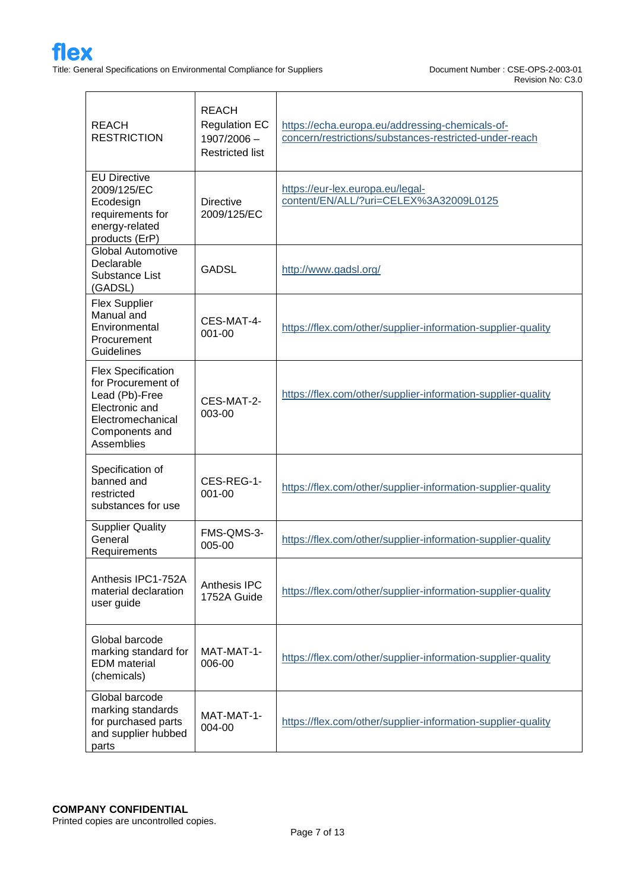| <b>REACH</b><br><b>RESTRICTION</b>                                                                                                       | <b>REACH</b><br><b>Regulation EC</b><br>1907/2006 -<br><b>Restricted list</b> | https://echa.europa.eu/addressing-chemicals-of-<br>concern/restrictions/substances-restricted-under-reach |  |  |
|------------------------------------------------------------------------------------------------------------------------------------------|-------------------------------------------------------------------------------|-----------------------------------------------------------------------------------------------------------|--|--|
| <b>EU Directive</b><br>2009/125/EC<br>Ecodesign<br>requirements for<br>energy-related<br>products (ErP)                                  | <b>Directive</b><br>2009/125/EC                                               | https://eur-lex.europa.eu/legal-<br>content/EN/ALL/?uri=CELEX%3A32009L0125                                |  |  |
| <b>Global Automotive</b><br>Declarable<br>Substance List<br>(GADSL)                                                                      | <b>GADSL</b>                                                                  | http://www.gadsl.org/                                                                                     |  |  |
| <b>Flex Supplier</b><br>Manual and<br>Environmental<br>Procurement<br>Guidelines                                                         | CES-MAT-4-<br>001-00                                                          | https://flex.com/other/supplier-information-supplier-quality                                              |  |  |
| <b>Flex Specification</b><br>for Procurement of<br>Lead (Pb)-Free<br>Electronic and<br>Electromechanical<br>Components and<br>Assemblies | CES-MAT-2-<br>003-00                                                          | https://flex.com/other/supplier-information-supplier-quality                                              |  |  |
| Specification of<br>banned and<br>restricted<br>substances for use                                                                       | CES-REG-1-<br>001-00                                                          | https://flex.com/other/supplier-information-supplier-quality                                              |  |  |
| <b>Supplier Quality</b><br>General<br>Requirements                                                                                       | FMS-QMS-3-<br>005-00                                                          | https://flex.com/other/supplier-information-supplier-quality                                              |  |  |
| Anthesis IPC1-752A<br>material declaration<br>user guide                                                                                 | Anthesis IPC<br>1752A Guide                                                   | https://flex.com/other/supplier-information-supplier-quality                                              |  |  |
| Global barcode<br>marking standard for<br><b>EDM</b> material<br>(chemicals)                                                             | MAT-MAT-1-<br>006-00                                                          | https://flex.com/other/supplier-information-supplier-quality                                              |  |  |
| Global barcode<br>marking standards<br>for purchased parts<br>and supplier hubbed<br>parts                                               | MAT-MAT-1-<br>004-00                                                          | https://flex.com/other/supplier-information-supplier-quality                                              |  |  |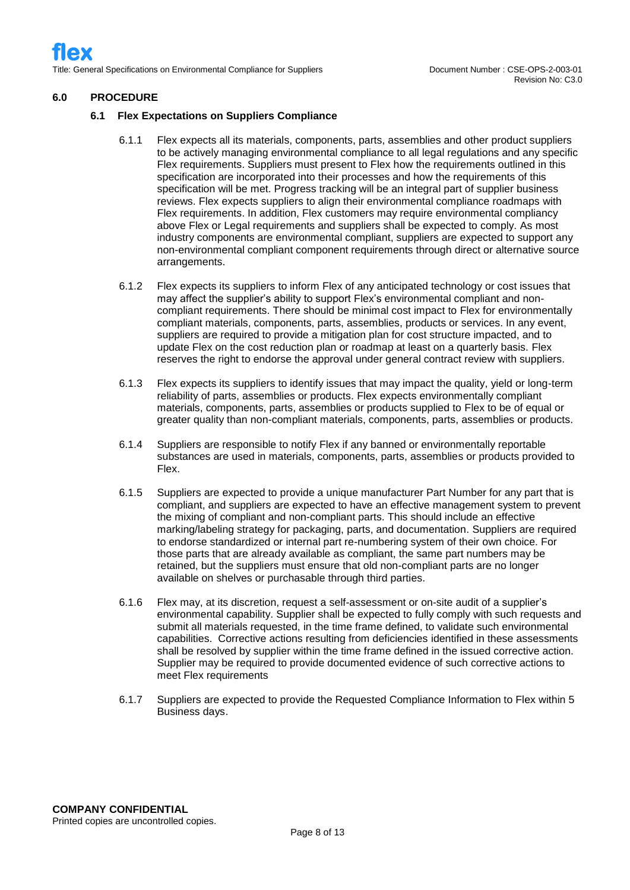#### **6.0 PROCEDURE**

#### **6.1 Flex Expectations on Suppliers Compliance**

- 6.1.1 Flex expects all its materials, components, parts, assemblies and other product suppliers to be actively managing environmental compliance to all legal regulations and any specific Flex requirements. Suppliers must present to Flex how the requirements outlined in this specification are incorporated into their processes and how the requirements of this specification will be met. Progress tracking will be an integral part of supplier business reviews. Flex expects suppliers to align their environmental compliance roadmaps with Flex requirements. In addition, Flex customers may require environmental compliancy above Flex or Legal requirements and suppliers shall be expected to comply. As most industry components are environmental compliant, suppliers are expected to support any non-environmental compliant component requirements through direct or alternative source arrangements.
- 6.1.2 Flex expects its suppliers to inform Flex of any anticipated technology or cost issues that may affect the supplier's ability to support Flex's environmental compliant and noncompliant requirements. There should be minimal cost impact to Flex for environmentally compliant materials, components, parts, assemblies, products or services. In any event, suppliers are required to provide a mitigation plan for cost structure impacted, and to update Flex on the cost reduction plan or roadmap at least on a quarterly basis. Flex reserves the right to endorse the approval under general contract review with suppliers.
- 6.1.3 Flex expects its suppliers to identify issues that may impact the quality, yield or long-term reliability of parts, assemblies or products. Flex expects environmentally compliant materials, components, parts, assemblies or products supplied to Flex to be of equal or greater quality than non-compliant materials, components, parts, assemblies or products.
- 6.1.4 Suppliers are responsible to notify Flex if any banned or environmentally reportable substances are used in materials, components, parts, assemblies or products provided to Flex.
- 6.1.5 Suppliers are expected to provide a unique manufacturer Part Number for any part that is compliant, and suppliers are expected to have an effective management system to prevent the mixing of compliant and non-compliant parts. This should include an effective marking/labeling strategy for packaging, parts, and documentation. Suppliers are required to endorse standardized or internal part re-numbering system of their own choice. For those parts that are already available as compliant, the same part numbers may be retained, but the suppliers must ensure that old non-compliant parts are no longer available on shelves or purchasable through third parties.
- 6.1.6 Flex may, at its discretion, request a self-assessment or on-site audit of a supplier's environmental capability. Supplier shall be expected to fully comply with such requests and submit all materials requested, in the time frame defined, to validate such environmental capabilities. Corrective actions resulting from deficiencies identified in these assessments shall be resolved by supplier within the time frame defined in the issued corrective action. Supplier may be required to provide documented evidence of such corrective actions to meet Flex requirements
- 6.1.7 Suppliers are expected to provide the Requested Compliance Information to Flex within 5 Business days.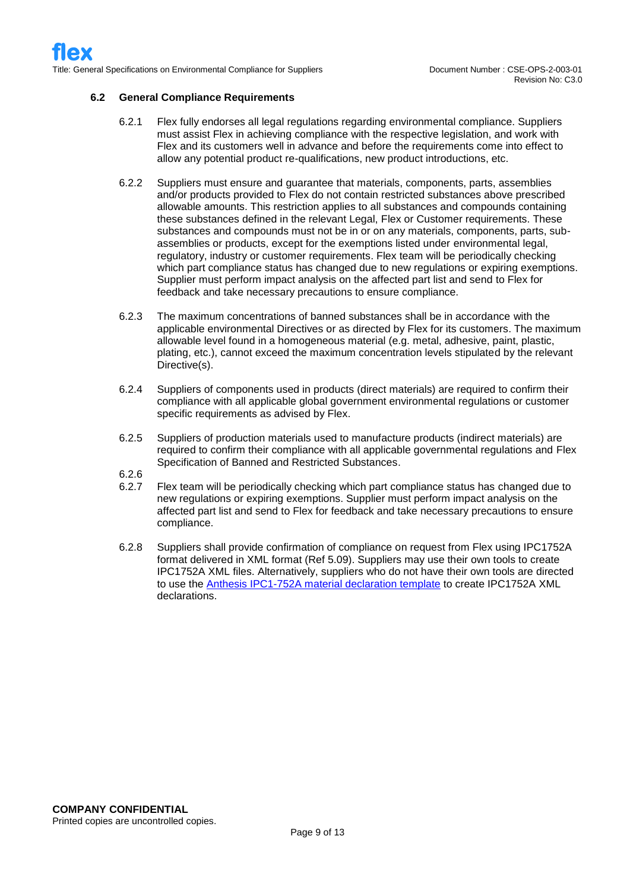#### **6.2 General Compliance Requirements**

- 6.2.1 Flex fully endorses all legal regulations regarding environmental compliance. Suppliers must assist Flex in achieving compliance with the respective legislation, and work with Flex and its customers well in advance and before the requirements come into effect to allow any potential product re-qualifications, new product introductions, etc.
- 6.2.2 Suppliers must ensure and guarantee that materials, components, parts, assemblies and/or products provided to Flex do not contain restricted substances above prescribed allowable amounts. This restriction applies to all substances and compounds containing these substances defined in the relevant Legal, Flex or Customer requirements. These substances and compounds must not be in or on any materials, components, parts, subassemblies or products, except for the exemptions listed under environmental legal, regulatory, industry or customer requirements. Flex team will be periodically checking which part compliance status has changed due to new regulations or expiring exemptions. Supplier must perform impact analysis on the affected part list and send to Flex for feedback and take necessary precautions to ensure compliance.
- 6.2.3 The maximum concentrations of banned substances shall be in accordance with the applicable environmental Directives or as directed by Flex for its customers. The maximum allowable level found in a homogeneous material (e.g. metal, adhesive, paint, plastic, plating, etc.), cannot exceed the maximum concentration levels stipulated by the relevant Directive(s).
- 6.2.4 Suppliers of components used in products (direct materials) are required to confirm their compliance with all applicable global government environmental regulations or customer specific requirements as advised by Flex.
- 6.2.5 Suppliers of production materials used to manufacture products (indirect materials) are required to confirm their compliance with all applicable governmental regulations and Flex Specification of Banned and Restricted Substances.
- 6.2.6
- 6.2.7 Flex team will be periodically checking which part compliance status has changed due to new regulations or expiring exemptions. Supplier must perform impact analysis on the affected part list and send to Flex for feedback and take necessary precautions to ensure compliance.
- 6.2.8 Suppliers shall provide confirmation of compliance on request from Flex using IPC1752A format delivered in XML format (Ref 5.09). Suppliers may use their own tools to create IPC1752A XML files. Alternatively, suppliers who do not have their own tools are directed to use the [Anthesis IPC1-752A material declaration template](https://flex.com/-/media/Project/Flex/BrandSite/other-pdf/supplier-information/supplier-quality/Anthesis_IPC1-752A_Material_Declaration.xlsm) to create IPC1752A XML declarations.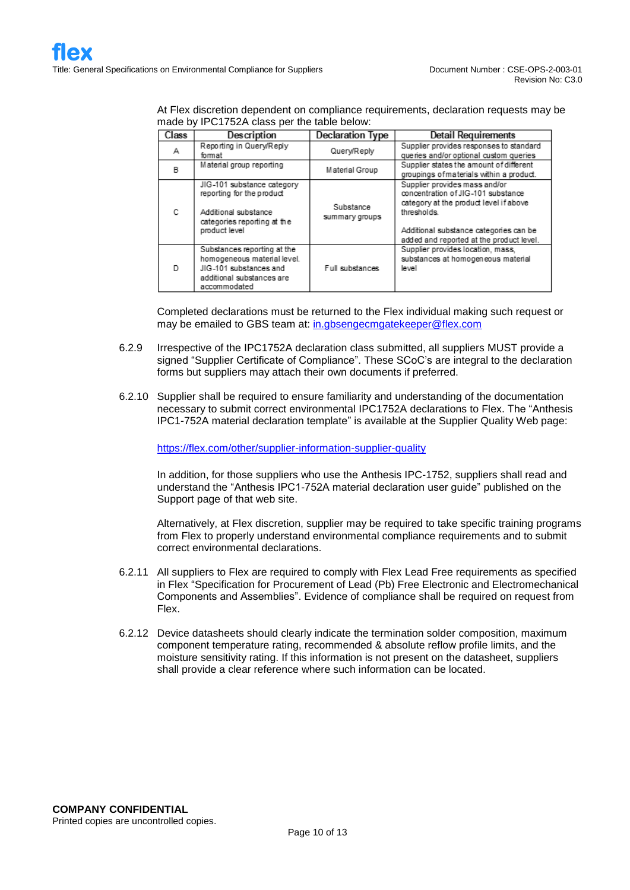| At Flex discretion dependent on compliance requirements, declaration requests may be |  |
|--------------------------------------------------------------------------------------|--|
| made by IPC1752A class per the table below:                                          |  |

| Class | Description                                                                                                                       | Declaration Type            | Detail Requirements                                                                                                                                                                                                |
|-------|-----------------------------------------------------------------------------------------------------------------------------------|-----------------------------|--------------------------------------------------------------------------------------------------------------------------------------------------------------------------------------------------------------------|
| А     | Reporting in Query/Reply<br>format                                                                                                | Query/Reply                 | Supplier provides responses to standard<br>queries and/or optional custom queries                                                                                                                                  |
| B     | Material group reporting                                                                                                          | Material Group              | Supplier states the amount of different<br>groupings of materials within a product.                                                                                                                                |
| C     | JIG-101 substance category<br>reporting for the product<br>Additional substance<br>categories reporting at the<br>product level   | Substance<br>summary groups | Supplier provides mass and/or<br>concentration of JIG-101 substance<br>category at the product level if above<br>thresholds.<br>Additional substance categories can be<br>added and reported at the product level. |
| D     | Substances reporting at the<br>homogeneous material level.<br>JIG-101 substances and<br>additional substances are<br>accommodated | Full substances             | Supplier provides location, mass,<br>substances at homogeneous material<br>level                                                                                                                                   |

Completed declarations must be returned to the Flex individual making such request or may be emailed to GBS team at: [in.gbsengecmgatekeeper@flex.com](mailto:in.gbsengecmgatekeeper@flex.com)

- 6.2.9 Irrespective of the IPC1752A declaration class submitted, all suppliers MUST provide a signed "Supplier Certificate of Compliance". These SCoC's are integral to the declaration forms but suppliers may attach their own documents if preferred.
- 6.2.10 Supplier shall be required to ensure familiarity and understanding of the documentation necessary to submit correct environmental IPC1752A declarations to Flex. The "Anthesis IPC1-752A material declaration template" is available at the Supplier Quality Web page:

<https://flex.com/other/supplier-information-supplier-quality>

In addition, for those suppliers who use the Anthesis IPC-1752, suppliers shall read and understand the "Anthesis IPC1-752A material declaration user guide" published on the Support page of that web site.

Alternatively, at Flex discretion, supplier may be required to take specific training programs from Flex to properly understand environmental compliance requirements and to submit correct environmental declarations.

- 6.2.11 All suppliers to Flex are required to comply with Flex Lead Free requirements as specified in Flex "Specification for Procurement of Lead (Pb) Free Electronic and Electromechanical Components and Assemblies". Evidence of compliance shall be required on request from Flex.
- 6.2.12 Device datasheets should clearly indicate the termination solder composition, maximum component temperature rating, recommended & absolute reflow profile limits, and the moisture sensitivity rating. If this information is not present on the datasheet, suppliers shall provide a clear reference where such information can be located.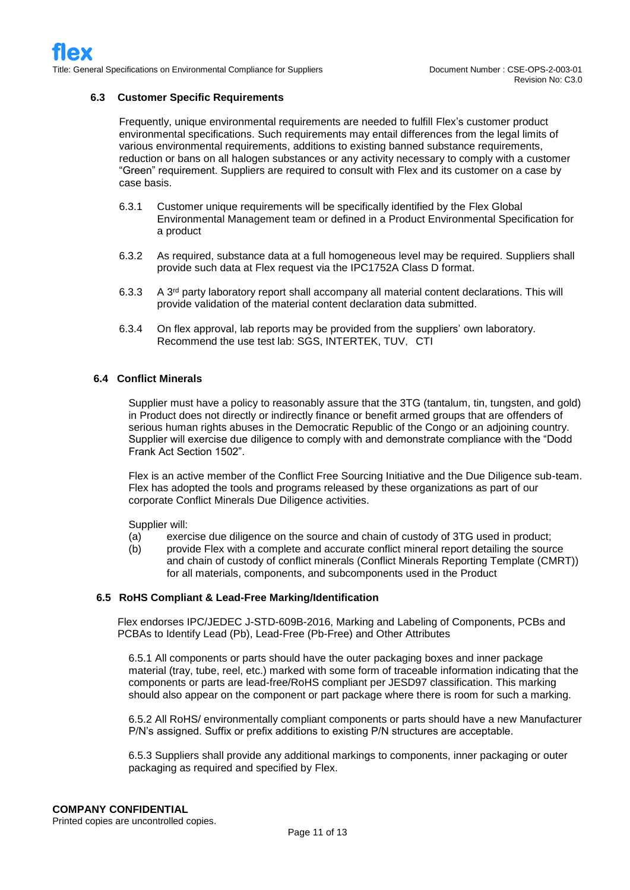#### **6.3 Customer Specific Requirements**

Frequently, unique environmental requirements are needed to fulfill Flex's customer product environmental specifications. Such requirements may entail differences from the legal limits of various environmental requirements, additions to existing banned substance requirements, reduction or bans on all halogen substances or any activity necessary to comply with a customer "Green" requirement. Suppliers are required to consult with Flex and its customer on a case by case basis.

- 6.3.1 Customer unique requirements will be specifically identified by the Flex Global Environmental Management team or defined in a Product Environmental Specification for a product
- 6.3.2 As required, substance data at a full homogeneous level may be required. Suppliers shall provide such data at Flex request via the IPC1752A Class D format.
- 6.3.3 A 3rd party laboratory report shall accompany all material content declarations. This will provide validation of the material content declaration data submitted.
- 6.3.4 On flex approval, lab reports may be provided from the suppliers' own laboratory. Recommend the use test lab: SGS, INTERTEK, TUV, CTI

#### **6.4 Conflict Minerals**

Supplier must have a policy to reasonably assure that the 3TG (tantalum, tin, tungsten, and gold) in Product does not directly or indirectly finance or benefit armed groups that are offenders of serious human rights abuses in the Democratic Republic of the Congo or an adjoining country. Supplier will exercise due diligence to comply with and demonstrate compliance with the "Dodd Frank Act Section 1502".

Flex is an active member of the Conflict Free Sourcing Initiative and the Due Diligence sub-team. Flex has adopted the tools and programs released by these organizations as part of our corporate Conflict Minerals Due Diligence activities.

Supplier will:

- (a) exercise due diligence on the source and chain of custody of 3TG used in product;
- (b) provide Flex with a complete and accurate conflict mineral report detailing the source and chain of custody of conflict minerals (Conflict Minerals Reporting Template (CMRT)) for all materials, components, and subcomponents used in the Product

#### **6.5 RoHS Compliant & Lead-Free Marking/Identification**

Flex endorses IPC/JEDEC J-STD-609B-2016, Marking and Labeling of Components, PCBs and PCBAs to Identify Lead (Pb), Lead-Free (Pb-Free) and Other Attributes

6.5.1 All components or parts should have the outer packaging boxes and inner package material (tray, tube, reel, etc.) marked with some form of traceable information indicating that the components or parts are lead-free/RoHS compliant per JESD97 classification. This marking should also appear on the component or part package where there is room for such a marking.

6.5.2 All RoHS/ environmentally compliant components or parts should have a new Manufacturer P/N's assigned. Suffix or prefix additions to existing P/N structures are acceptable.

6.5.3 Suppliers shall provide any additional markings to components, inner packaging or outer packaging as required and specified by Flex.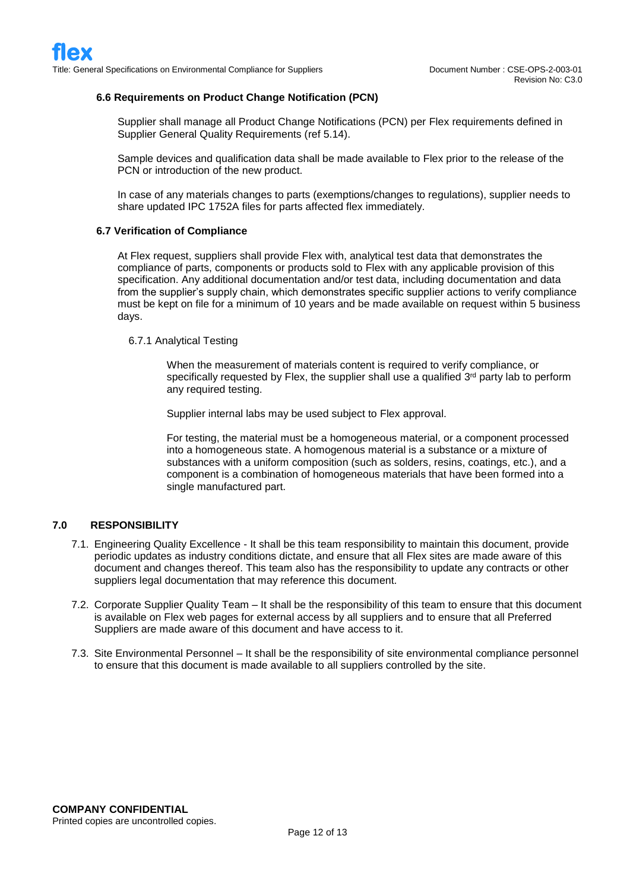#### **6.6 Requirements on Product Change Notification (PCN)**

Supplier shall manage all Product Change Notifications (PCN) per Flex requirements defined in Supplier General Quality Requirements (ref 5.14).

Sample devices and qualification data shall be made available to Flex prior to the release of the PCN or introduction of the new product.

In case of any materials changes to parts (exemptions/changes to regulations), supplier needs to share updated IPC 1752A files for parts affected flex immediately.

#### **6.7 Verification of Compliance**

At Flex request, suppliers shall provide Flex with, analytical test data that demonstrates the compliance of parts, components or products sold to Flex with any applicable provision of this specification. Any additional documentation and/or test data, including documentation and data from the supplier's supply chain, which demonstrates specific supplier actions to verify compliance must be kept on file for a minimum of 10 years and be made available on request within 5 business days.

#### 6.7.1 Analytical Testing

When the measurement of materials content is required to verify compliance, or specifically requested by Flex, the supplier shall use a qualified  $3<sup>rd</sup>$  party lab to perform any required testing.

Supplier internal labs may be used subject to Flex approval.

For testing, the material must be a homogeneous material, or a component processed into a homogeneous state. A homogenous material is a substance or a mixture of substances with a uniform composition (such as solders, resins, coatings, etc.), and a component is a combination of homogeneous materials that have been formed into a single manufactured part.

#### **7.0 RESPONSIBILITY**

- 7.1. Engineering Quality Excellence It shall be this team responsibility to maintain this document, provide periodic updates as industry conditions dictate, and ensure that all Flex sites are made aware of this document and changes thereof. This team also has the responsibility to update any contracts or other suppliers legal documentation that may reference this document.
- 7.2. Corporate Supplier Quality Team It shall be the responsibility of this team to ensure that this document is available on Flex web pages for external access by all suppliers and to ensure that all Preferred Suppliers are made aware of this document and have access to it.
- 7.3. Site Environmental Personnel It shall be the responsibility of site environmental compliance personnel to ensure that this document is made available to all suppliers controlled by the site.